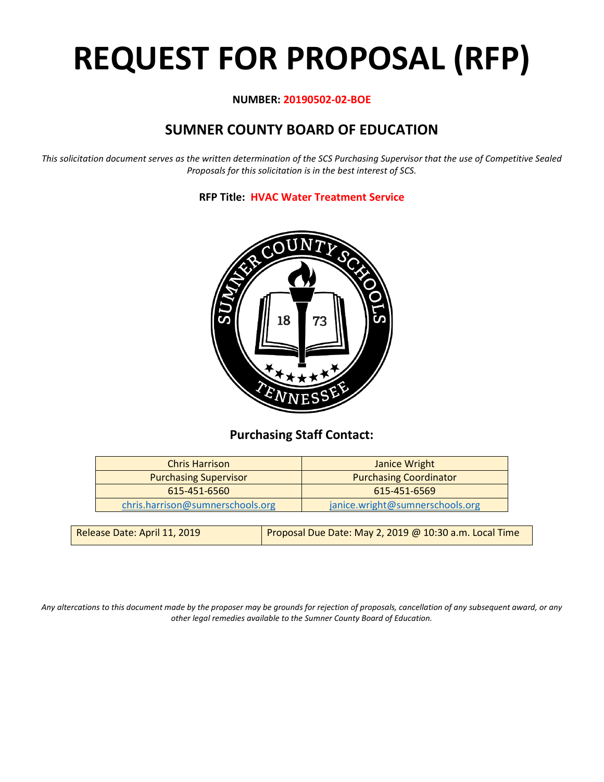# **REQUEST FOR PROPOSAL (RFP)**

#### **NUMBER: 20190502-02-BOE**

# **SUMNER COUNTY BOARD OF EDUCATION**

*This solicitation document serves as the written determination of the SCS Purchasing Supervisor that the use of Competitive Sealed Proposals for this solicitation is in the best interest of SCS.*

**RFP Title: HVAC Water Treatment Service**



## **Purchasing Staff Contact:**

| <b>Chris Harrison</b>            | Janice Wright                   |
|----------------------------------|---------------------------------|
| <b>Purchasing Supervisor</b>     | <b>Purchasing Coordinator</b>   |
| 615-451-6560                     | 615-451-6569                    |
| chris.harrison@sumnerschools.org | janice.wright@sumnerschools.org |
|                                  |                                 |

*Any altercations to this document made by the proposer may be grounds for rejection of proposals, cancellation of any subsequent award, or any other legal remedies available to the Sumner County Board of Education.*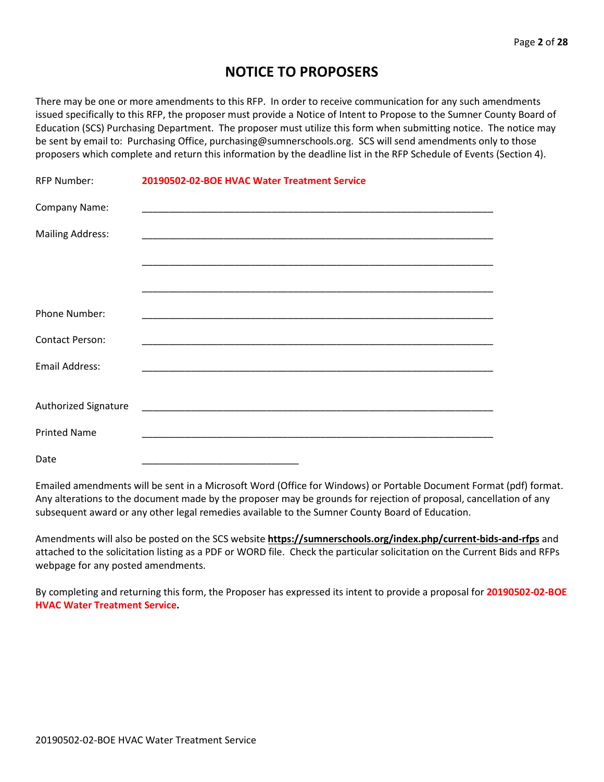## **NOTICE TO PROPOSERS**

There may be one or more amendments to this RFP. In order to receive communication for any such amendments issued specifically to this RFP, the proposer must provide a Notice of Intent to Propose to the Sumner County Board of Education (SCS) Purchasing Department. The proposer must utilize this form when submitting notice. The notice may be sent by email to: Purchasing Office, purchasing@sumnerschools.org. SCS will send amendments only to those proposers which complete and return this information by the deadline list in the RFP Schedule of Events (Section 4).

| <b>RFP Number:</b>      | 20190502-02-BOE HVAC Water Treatment Service |
|-------------------------|----------------------------------------------|
| Company Name:           |                                              |
| <b>Mailing Address:</b> |                                              |
|                         |                                              |
|                         |                                              |
| Phone Number:           |                                              |
| <b>Contact Person:</b>  |                                              |
| <b>Email Address:</b>   |                                              |
|                         |                                              |
| Authorized Signature    |                                              |
| <b>Printed Name</b>     |                                              |
| Date                    |                                              |

Emailed amendments will be sent in a Microsoft Word (Office for Windows) or Portable Document Format (pdf) format. Any alterations to the document made by the proposer may be grounds for rejection of proposal, cancellation of any subsequent award or any other legal remedies available to the Sumner County Board of Education.

Amendments will also be posted on the SCS website **https://sumnerschools.org/index.php/current-bids-and-rfps** and attached to the solicitation listing as a PDF or WORD file. Check the particular solicitation on the Current Bids and RFPs webpage for any posted amendments.

By completing and returning this form, the Proposer has expressed its intent to provide a proposal for **20190502-02-BOE HVAC Water Treatment Service.**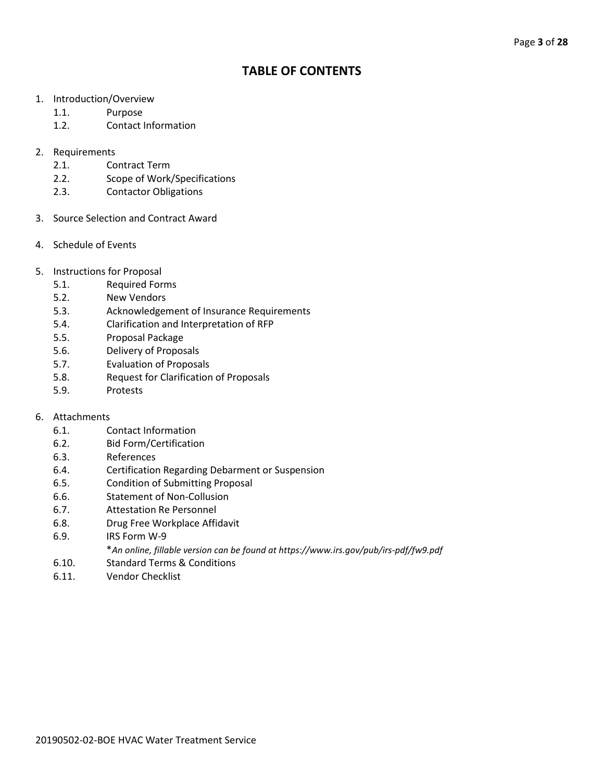## **TABLE OF CONTENTS**

- 1. Introduction/Overview
	- 1.1. Purpose
	- 1.2. Contact Information
- 2. Requirements
	- 2.1. Contract Term
	- 2.2. Scope of Work/Specifications
	- 2.3. Contactor Obligations
- 3. Source Selection and Contract Award
- 4. Schedule of Events
- 5. Instructions for Proposal
	- 5.1. Required Forms
	- 5.2. New Vendors
	- 5.3. Acknowledgement of Insurance Requirements
	- 5.4. Clarification and Interpretation of RFP
	- 5.5. Proposal Package
	- 5.6. Delivery of Proposals
	- 5.7. Evaluation of Proposals
	- 5.8. Request for Clarification of Proposals
	- 5.9. Protests

#### 6. Attachments

- 6.1. Contact Information
- 6.2. Bid Form/Certification
- 6.3. References
- 6.4. Certification Regarding Debarment or Suspension
- 6.5. Condition of Submitting Proposal
- 6.6. Statement of Non-Collusion
- 6.7. Attestation Re Personnel
- 6.8. Drug Free Workplace Affidavit
- 6.9. IRS Form W-9
	- \**An online, fillable version can be found at https://www.irs.gov/pub/irs-pdf/fw9.pdf*
- 6.10. Standard Terms & Conditions
- 6.11. Vendor Checklist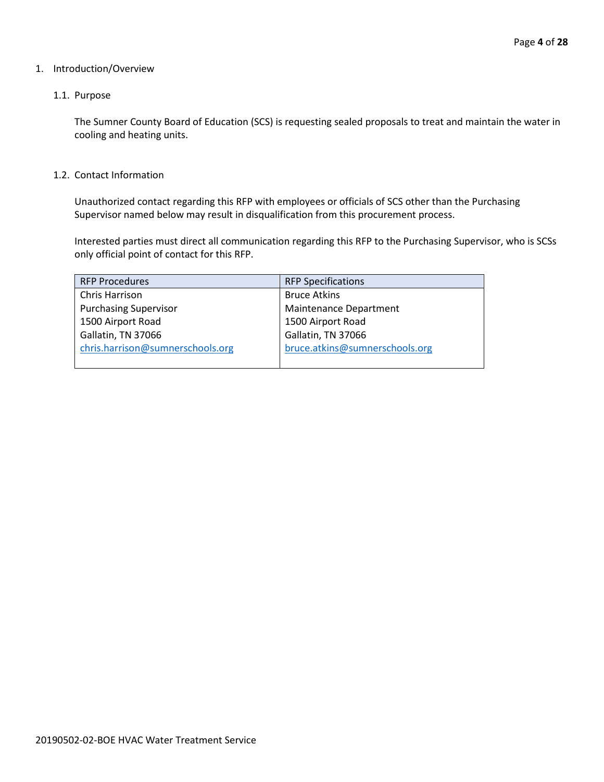#### 1. Introduction/Overview

#### 1.1. Purpose

The Sumner County Board of Education (SCS) is requesting sealed proposals to treat and maintain the water in cooling and heating units.

1.2. Contact Information

Unauthorized contact regarding this RFP with employees or officials of SCS other than the Purchasing Supervisor named below may result in disqualification from this procurement process.

Interested parties must direct all communication regarding this RFP to the Purchasing Supervisor, who is SCSs only official point of contact for this RFP.

| <b>RFP Procedures</b>            | <b>RFP Specifications</b>      |
|----------------------------------|--------------------------------|
| Chris Harrison                   | <b>Bruce Atkins</b>            |
| <b>Purchasing Supervisor</b>     | Maintenance Department         |
| 1500 Airport Road                | 1500 Airport Road              |
| Gallatin, TN 37066               | Gallatin, TN 37066             |
| chris.harrison@sumnerschools.org | bruce.atkins@sumnerschools.org |
|                                  |                                |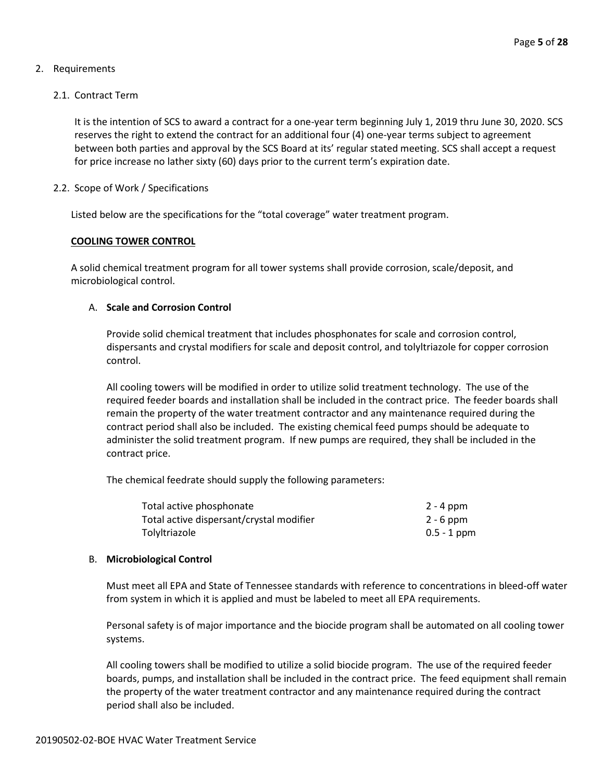#### 2. Requirements

#### 2.1. Contract Term

It is the intention of SCS to award a contract for a one-year term beginning July 1, 2019 thru June 30, 2020. SCS reserves the right to extend the contract for an additional four (4) one-year terms subject to agreement between both parties and approval by the SCS Board at its' regular stated meeting. SCS shall accept a request for price increase no lather sixty (60) days prior to the current term's expiration date.

#### 2.2. Scope of Work / Specifications

Listed below are the specifications for the "total coverage" water treatment program.

#### **COOLING TOWER CONTROL**

A solid chemical treatment program for all tower systems shall provide corrosion, scale/deposit, and microbiological control.

#### A. **Scale and Corrosion Control**

Provide solid chemical treatment that includes phosphonates for scale and corrosion control, dispersants and crystal modifiers for scale and deposit control, and tolyltriazole for copper corrosion control.

All cooling towers will be modified in order to utilize solid treatment technology. The use of the required feeder boards and installation shall be included in the contract price. The feeder boards shall remain the property of the water treatment contractor and any maintenance required during the contract period shall also be included. The existing chemical feed pumps should be adequate to administer the solid treatment program. If new pumps are required, they shall be included in the contract price.

The chemical feedrate should supply the following parameters:

| Total active phosphonate                 | 2 - 4 ppm     |
|------------------------------------------|---------------|
| Total active dispersant/crystal modifier | $2 - 6$ ppm   |
| Tolyltriazole                            | $0.5 - 1$ ppm |

#### B. **Microbiological Control**

Must meet all EPA and State of Tennessee standards with reference to concentrations in bleed-off water from system in which it is applied and must be labeled to meet all EPA requirements.

Personal safety is of major importance and the biocide program shall be automated on all cooling tower systems.

All cooling towers shall be modified to utilize a solid biocide program. The use of the required feeder boards, pumps, and installation shall be included in the contract price. The feed equipment shall remain the property of the water treatment contractor and any maintenance required during the contract period shall also be included.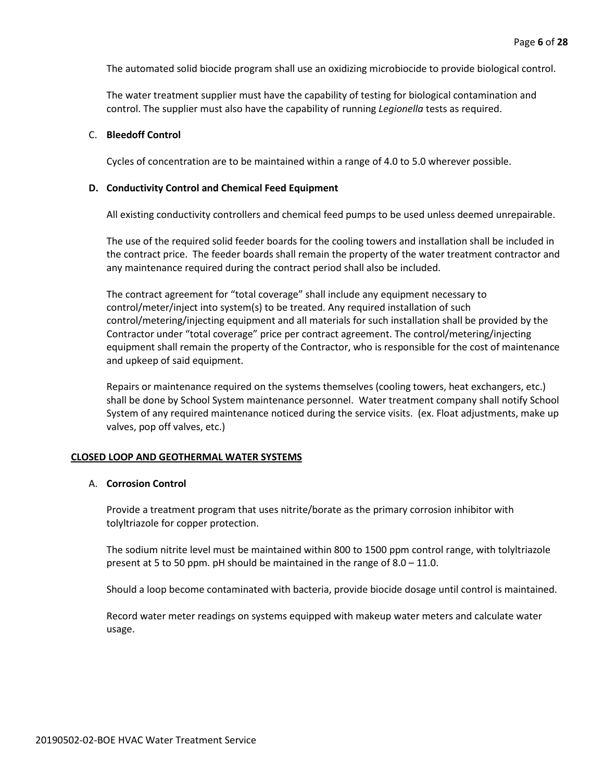The automated solid biocide program shall use an oxidizing microbiocide to provide biological control.

The water treatment supplier must have the capability of testing for biological contamination and control. The supplier must also have the capability of running *Legionella* tests as required.

#### C. **Bleedoff Control**

Cycles of concentration are to be maintained within a range of 4.0 to 5.0 wherever possible.

#### **D. Conductivity Control and Chemical Feed Equipment**

All existing conductivity controllers and chemical feed pumps to be used unless deemed unrepairable.

The use of the required solid feeder boards for the cooling towers and installation shall be included in the contract price. The feeder boards shall remain the property of the water treatment contractor and any maintenance required during the contract period shall also be included.

The contract agreement for "total coverage" shall include any equipment necessary to control/meter/inject into system(s) to be treated. Any required installation of such control/metering/injecting equipment and all materials for such installation shall be provided by the Contractor under "total coverage" price per contract agreement. The control/metering/injecting equipment shall remain the property of the Contractor, who is responsible for the cost of maintenance and upkeep of said equipment.

Repairs or maintenance required on the systems themselves (cooling towers, heat exchangers, etc.) shall be done by School System maintenance personnel. Water treatment company shall notify School System of any required maintenance noticed during the service visits. (ex. Float adjustments, make up valves, pop off valves, etc.)

#### **CLOSED LOOP AND GEOTHERMAL WATER SYSTEMS**

#### A. **Corrosion Control**

Provide a treatment program that uses nitrite/borate as the primary corrosion inhibitor with tolyltriazole for copper protection.

The sodium nitrite level must be maintained within 800 to 1500 ppm control range, with tolyltriazole present at 5 to 50 ppm. pH should be maintained in the range of 8.0 – 11.0.

Should a loop become contaminated with bacteria, provide biocide dosage until control is maintained.

Record water meter readings on systems equipped with makeup water meters and calculate water usage.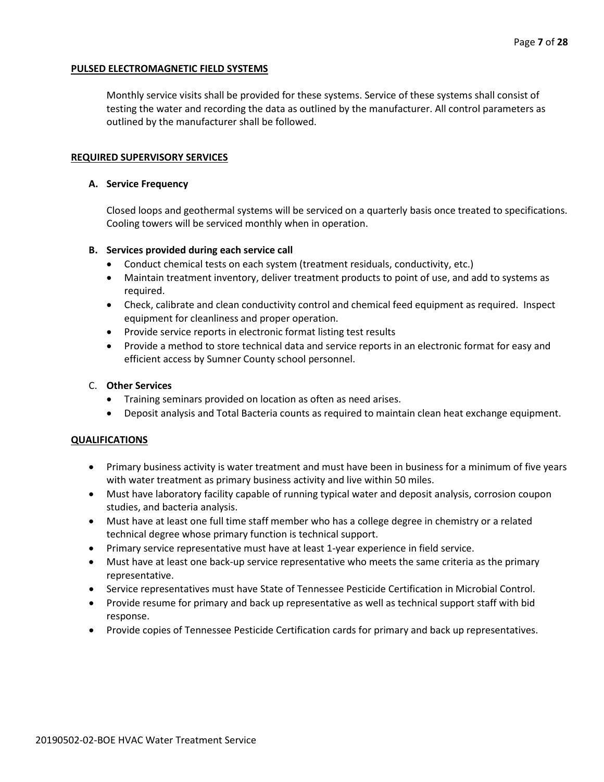#### **PULSED ELECTROMAGNETIC FIELD SYSTEMS**

Monthly service visits shall be provided for these systems. Service of these systems shall consist of testing the water and recording the data as outlined by the manufacturer. All control parameters as outlined by the manufacturer shall be followed.

#### **REQUIRED SUPERVISORY SERVICES**

#### **A. Service Frequency**

Closed loops and geothermal systems will be serviced on a quarterly basis once treated to specifications. Cooling towers will be serviced monthly when in operation.

#### **B. Services provided during each service call**

- Conduct chemical tests on each system (treatment residuals, conductivity, etc.)
- Maintain treatment inventory, deliver treatment products to point of use, and add to systems as required.
- Check, calibrate and clean conductivity control and chemical feed equipment as required. Inspect equipment for cleanliness and proper operation.
- Provide service reports in electronic format listing test results
- Provide a method to store technical data and service reports in an electronic format for easy and efficient access by Sumner County school personnel.

#### C. **Other Services**

- Training seminars provided on location as often as need arises.
- Deposit analysis and Total Bacteria counts as required to maintain clean heat exchange equipment.

#### **QUALIFICATIONS**

- Primary business activity is water treatment and must have been in business for a minimum of five years with water treatment as primary business activity and live within 50 miles.
- Must have laboratory facility capable of running typical water and deposit analysis, corrosion coupon studies, and bacteria analysis.
- Must have at least one full time staff member who has a college degree in chemistry or a related technical degree whose primary function is technical support.
- Primary service representative must have at least 1-year experience in field service.
- Must have at least one back-up service representative who meets the same criteria as the primary representative.
- Service representatives must have State of Tennessee Pesticide Certification in Microbial Control.
- Provide resume for primary and back up representative as well as technical support staff with bid response.
- Provide copies of Tennessee Pesticide Certification cards for primary and back up representatives.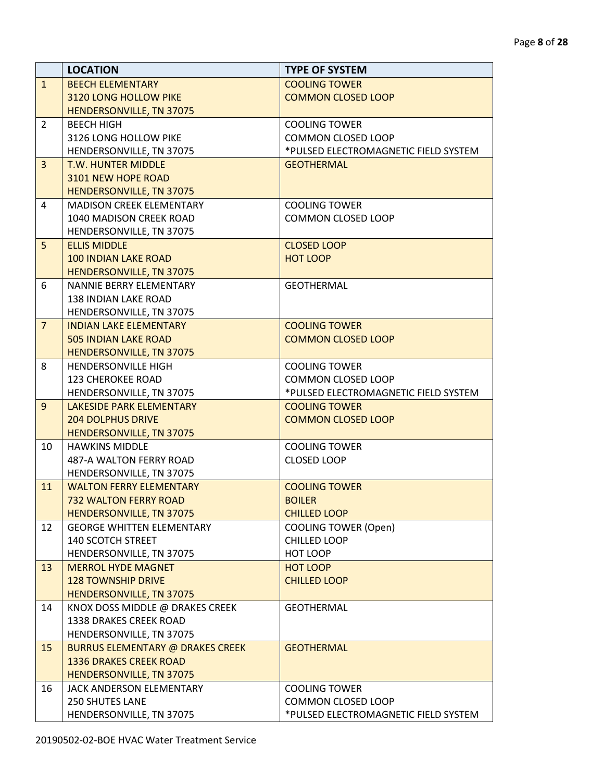|                | <b>LOCATION</b>                                           | <b>TYPE OF SYSTEM</b>                |
|----------------|-----------------------------------------------------------|--------------------------------------|
| $\mathbf{1}$   | <b>BEECH ELEMENTARY</b>                                   | <b>COOLING TOWER</b>                 |
|                | 3120 LONG HOLLOW PIKE                                     | <b>COMMON CLOSED LOOP</b>            |
|                | HENDERSONVILLE, TN 37075                                  |                                      |
| $\overline{2}$ | <b>BEECH HIGH</b>                                         | <b>COOLING TOWER</b>                 |
|                | 3126 LONG HOLLOW PIKE                                     | <b>COMMON CLOSED LOOP</b>            |
|                | HENDERSONVILLE, TN 37075                                  | *PULSED ELECTROMAGNETIC FIELD SYSTEM |
| $\overline{3}$ | <b>T.W. HUNTER MIDDLE</b>                                 | <b>GEOTHERMAL</b>                    |
|                | 3101 NEW HOPE ROAD                                        |                                      |
|                | <b>HENDERSONVILLE, TN 37075</b>                           |                                      |
| 4              | <b>MADISON CREEK ELEMENTARY</b>                           | <b>COOLING TOWER</b>                 |
|                | 1040 MADISON CREEK ROAD                                   | <b>COMMON CLOSED LOOP</b>            |
|                | HENDERSONVILLE, TN 37075                                  |                                      |
| 5              | <b>ELLIS MIDDLE</b>                                       | <b>CLOSED LOOP</b>                   |
|                | <b>100 INDIAN LAKE ROAD</b>                               | <b>HOT LOOP</b>                      |
|                | <b>HENDERSONVILLE, TN 37075</b>                           |                                      |
| 6              | NANNIE BERRY ELEMENTARY                                   | <b>GEOTHERMAL</b>                    |
|                | <b>138 INDIAN LAKE ROAD</b>                               |                                      |
|                | HENDERSONVILLE, TN 37075                                  |                                      |
| $\overline{7}$ | <b>INDIAN LAKE ELEMENTARY</b>                             | <b>COOLING TOWER</b>                 |
|                | <b>505 INDIAN LAKE ROAD</b>                               | <b>COMMON CLOSED LOOP</b>            |
|                | HENDERSONVILLE, TN 37075                                  |                                      |
| 8              | HENDERSONVILLE HIGH                                       | <b>COOLING TOWER</b>                 |
|                | <b>123 CHEROKEE ROAD</b>                                  | <b>COMMON CLOSED LOOP</b>            |
|                | HENDERSONVILLE, TN 37075                                  | *PULSED ELECTROMAGNETIC FIELD SYSTEM |
| 9              | <b>LAKESIDE PARK ELEMENTARY</b>                           | <b>COOLING TOWER</b>                 |
|                | <b>204 DOLPHUS DRIVE</b>                                  | <b>COMMON CLOSED LOOP</b>            |
|                | HENDERSONVILLE, TN 37075                                  |                                      |
| 10             | <b>HAWKINS MIDDLE</b>                                     | <b>COOLING TOWER</b>                 |
|                | 487-A WALTON FERRY ROAD                                   | <b>CLOSED LOOP</b>                   |
|                | HENDERSONVILLE, TN 37075                                  |                                      |
| 11             | <b>WALTON FERRY ELEMENTARY</b>                            | <b>COOLING TOWER</b>                 |
|                | <b>732 WALTON FERRY ROAD</b>                              | <b>BOILER</b>                        |
|                | HENDERSONVILLE, TN 37075                                  | <b>CHILLED LOOP</b>                  |
| 12             | <b>GEORGE WHITTEN ELEMENTARY</b>                          | <b>COOLING TOWER (Open)</b>          |
|                | 140 SCOTCH STREET                                         | <b>CHILLED LOOP</b>                  |
|                | HENDERSONVILLE, TN 37075                                  | HOT LOOP                             |
| 13             | <b>MERROL HYDE MAGNET</b>                                 | <b>HOT LOOP</b>                      |
|                | <b>128 TOWNSHIP DRIVE</b>                                 | <b>CHILLED LOOP</b>                  |
|                | HENDERSONVILLE, TN 37075                                  |                                      |
| 14             | KNOX DOSS MIDDLE @ DRAKES CREEK<br>1338 DRAKES CREEK ROAD | <b>GEOTHERMAL</b>                    |
|                | HENDERSONVILLE, TN 37075                                  |                                      |
|                |                                                           |                                      |
| 15             | <b>BURRUS ELEMENTARY @ DRAKES CREEK</b>                   | <b>GEOTHERMAL</b>                    |
|                | <b>1336 DRAKES CREEK ROAD</b>                             |                                      |
|                | HENDERSONVILLE, TN 37075                                  | <b>COOLING TOWER</b>                 |
| 16             | JACK ANDERSON ELEMENTARY                                  |                                      |
|                | 250 SHUTES LANE                                           | COMMON CLOSED LOOP                   |
|                | HENDERSONVILLE, TN 37075                                  | *PULSED ELECTROMAGNETIC FIELD SYSTEM |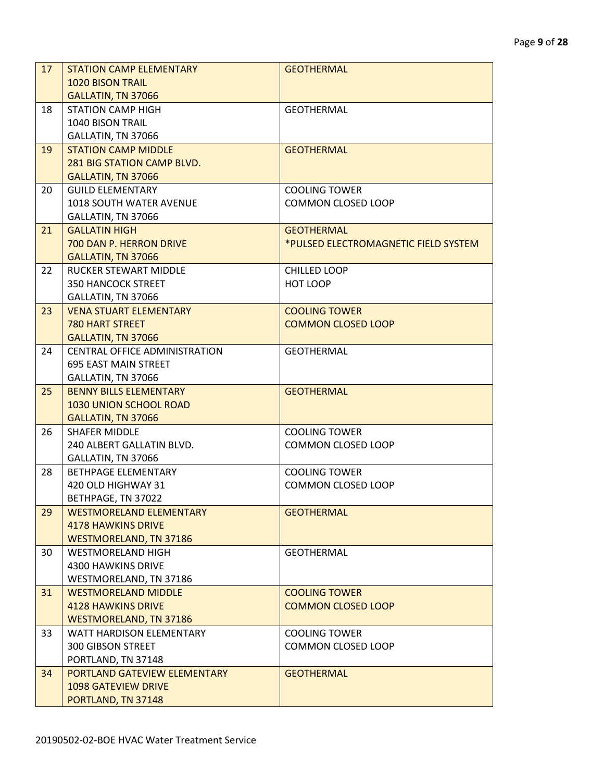| 17 | <b>STATION CAMP ELEMENTARY</b>                                   | <b>GEOTHERMAL</b>                                 |
|----|------------------------------------------------------------------|---------------------------------------------------|
|    | <b>1020 BISON TRAIL</b>                                          |                                                   |
|    | GALLATIN, TN 37066                                               |                                                   |
| 18 | <b>STATION CAMP HIGH</b>                                         | <b>GEOTHERMAL</b>                                 |
|    | <b>1040 BISON TRAIL</b>                                          |                                                   |
|    | GALLATIN, TN 37066                                               |                                                   |
| 19 | <b>STATION CAMP MIDDLE</b>                                       | <b>GEOTHERMAL</b>                                 |
|    | <b>281 BIG STATION CAMP BLVD.</b>                                |                                                   |
|    | GALLATIN, TN 37066                                               |                                                   |
| 20 | <b>GUILD ELEMENTARY</b>                                          | <b>COOLING TOWER</b>                              |
|    | <b>1018 SOUTH WATER AVENUE</b>                                   | <b>COMMON CLOSED LOOP</b>                         |
|    | GALLATIN, TN 37066                                               |                                                   |
| 21 | <b>GALLATIN HIGH</b>                                             | <b>GEOTHERMAL</b>                                 |
|    | 700 DAN P. HERRON DRIVE                                          | *PULSED ELECTROMAGNETIC FIELD SYSTEM              |
|    | GALLATIN, TN 37066                                               |                                                   |
| 22 | <b>RUCKER STEWART MIDDLE</b>                                     | <b>CHILLED LOOP</b>                               |
|    | <b>350 HANCOCK STREET</b>                                        | HOT LOOP                                          |
|    | GALLATIN, TN 37066                                               |                                                   |
| 23 | <b>VENA STUART ELEMENTARY</b>                                    | <b>COOLING TOWER</b>                              |
|    | <b>780 HART STREET</b>                                           | <b>COMMON CLOSED LOOP</b>                         |
|    | GALLATIN, TN 37066                                               |                                                   |
| 24 | <b>CENTRAL OFFICE ADMINISTRATION</b>                             | <b>GEOTHERMAL</b>                                 |
|    | <b>695 EAST MAIN STREET</b>                                      |                                                   |
|    | GALLATIN, TN 37066                                               |                                                   |
| 25 | <b>BENNY BILLS ELEMENTARY</b>                                    | <b>GEOTHERMAL</b>                                 |
|    | 1030 UNION SCHOOL ROAD                                           |                                                   |
|    | GALLATIN, TN 37066                                               |                                                   |
| 26 | <b>SHAFER MIDDLE</b>                                             | <b>COOLING TOWER</b>                              |
|    | 240 ALBERT GALLATIN BLVD.                                        | <b>COMMON CLOSED LOOP</b>                         |
|    | GALLATIN, TN 37066                                               |                                                   |
| 28 | BETHPAGE ELEMENTARY                                              | <b>COOLING TOWER</b>                              |
|    | 420 OLD HIGHWAY 31                                               | <b>COMMON CLOSED LOOP</b>                         |
|    | BETHPAGE, TN 37022                                               |                                                   |
| 29 | <b>WESTMORELAND ELEMENTARY</b>                                   | <b>GEOTHERMAL</b>                                 |
|    | <b>4178 HAWKINS DRIVE</b>                                        |                                                   |
|    | <b>WESTMORELAND, TN 37186</b>                                    |                                                   |
| 30 | <b>WESTMORELAND HIGH</b>                                         | <b>GEOTHERMAL</b>                                 |
|    | <b>4300 HAWKINS DRIVE</b>                                        |                                                   |
|    | WESTMORELAND, TN 37186                                           |                                                   |
| 31 | <b>WESTMORELAND MIDDLE</b>                                       | <b>COOLING TOWER</b>                              |
|    | <b>4128 HAWKINS DRIVE</b>                                        | <b>COMMON CLOSED LOOP</b>                         |
|    | <b>WESTMORELAND, TN 37186</b><br><b>WATT HARDISON ELEMENTARY</b> |                                                   |
| 33 |                                                                  | <b>COOLING TOWER</b><br><b>COMMON CLOSED LOOP</b> |
|    | 300 GIBSON STREET                                                |                                                   |
|    | PORTLAND, TN 37148                                               |                                                   |
| 34 | PORTLAND GATEVIEW ELEMENTARY                                     | <b>GEOTHERMAL</b>                                 |
|    | <b>1098 GATEVIEW DRIVE</b>                                       |                                                   |
|    | PORTLAND, TN 37148                                               |                                                   |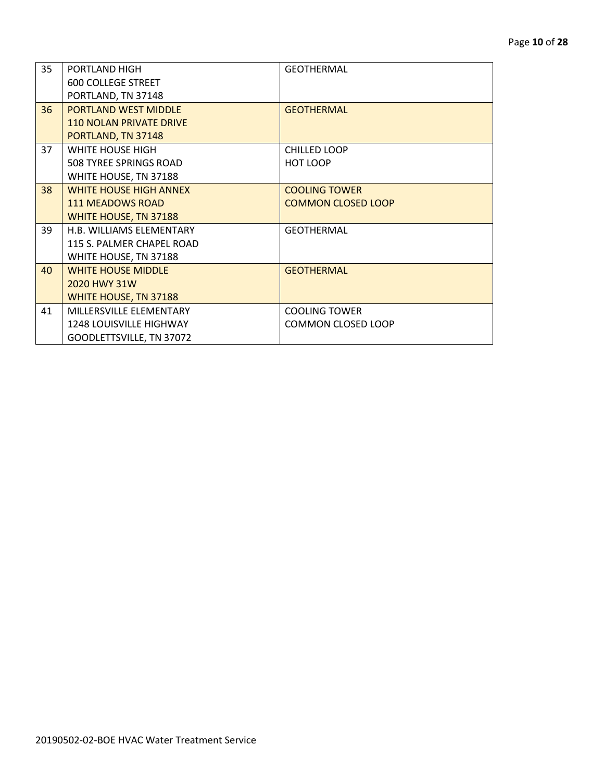| 35 | PORTLAND HIGH                  | <b>GEOTHERMAL</b>         |
|----|--------------------------------|---------------------------|
|    | <b>600 COLLEGE STREET</b>      |                           |
|    | PORTLAND, TN 37148             |                           |
| 36 | <b>PORTLAND WEST MIDDLE</b>    | <b>GEOTHERMAL</b>         |
|    |                                |                           |
|    | <b>110 NOLAN PRIVATE DRIVE</b> |                           |
|    | PORTLAND, TN 37148             |                           |
| 37 | WHITE HOUSE HIGH               | <b>CHILLED LOOP</b>       |
|    | 508 TYREE SPRINGS ROAD         | HOT LOOP                  |
|    | WHITE HOUSE, TN 37188          |                           |
| 38 | <b>WHITE HOUSE HIGH ANNEX</b>  | <b>COOLING TOWER</b>      |
|    | <b>111 MEADOWS ROAD</b>        | <b>COMMON CLOSED LOOP</b> |
|    | WHITE HOUSE, TN 37188          |                           |
| 39 | H.B. WILLIAMS ELEMENTARY       | <b>GEOTHERMAL</b>         |
|    | 115 S. PALMER CHAPEL ROAD      |                           |
|    | WHITE HOUSE, TN 37188          |                           |
| 40 | <b>WHITE HOUSE MIDDLE</b>      | <b>GEOTHERMAL</b>         |
|    | 2020 HWY 31W                   |                           |
|    | WHITE HOUSE, TN 37188          |                           |
| 41 | MILLERSVILLE ELEMENTARY        | <b>COOLING TOWER</b>      |
|    | <b>1248 LOUISVILLE HIGHWAY</b> | <b>COMMON CLOSED LOOP</b> |
|    | GOODLETTSVILLE, TN 37072       |                           |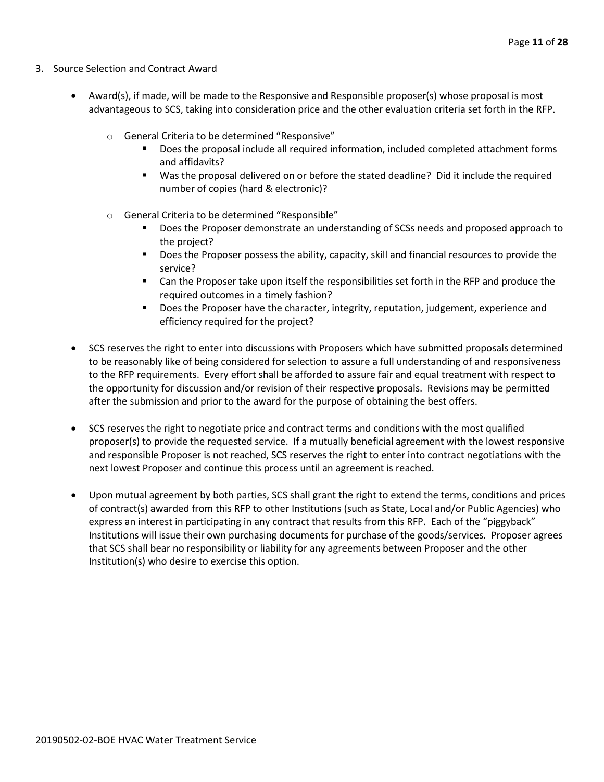- 3. Source Selection and Contract Award
	- Award(s), if made, will be made to the Responsive and Responsible proposer(s) whose proposal is most advantageous to SCS, taking into consideration price and the other evaluation criteria set forth in the RFP.
		- o General Criteria to be determined "Responsive"
			- Does the proposal include all required information, included completed attachment forms and affidavits?
			- Was the proposal delivered on or before the stated deadline? Did it include the required number of copies (hard & electronic)?
		- o General Criteria to be determined "Responsible"
			- Does the Proposer demonstrate an understanding of SCSs needs and proposed approach to the project?
			- **Does the Proposer possess the ability, capacity, skill and financial resources to provide the** service?
			- Can the Proposer take upon itself the responsibilities set forth in the RFP and produce the required outcomes in a timely fashion?
			- **Does the Proposer have the character, integrity, reputation, judgement, experience and** efficiency required for the project?
	- SCS reserves the right to enter into discussions with Proposers which have submitted proposals determined to be reasonably like of being considered for selection to assure a full understanding of and responsiveness to the RFP requirements. Every effort shall be afforded to assure fair and equal treatment with respect to the opportunity for discussion and/or revision of their respective proposals. Revisions may be permitted after the submission and prior to the award for the purpose of obtaining the best offers.
	- SCS reserves the right to negotiate price and contract terms and conditions with the most qualified proposer(s) to provide the requested service. If a mutually beneficial agreement with the lowest responsive and responsible Proposer is not reached, SCS reserves the right to enter into contract negotiations with the next lowest Proposer and continue this process until an agreement is reached.
	- Upon mutual agreement by both parties, SCS shall grant the right to extend the terms, conditions and prices of contract(s) awarded from this RFP to other Institutions (such as State, Local and/or Public Agencies) who express an interest in participating in any contract that results from this RFP. Each of the "piggyback" Institutions will issue their own purchasing documents for purchase of the goods/services. Proposer agrees that SCS shall bear no responsibility or liability for any agreements between Proposer and the other Institution(s) who desire to exercise this option.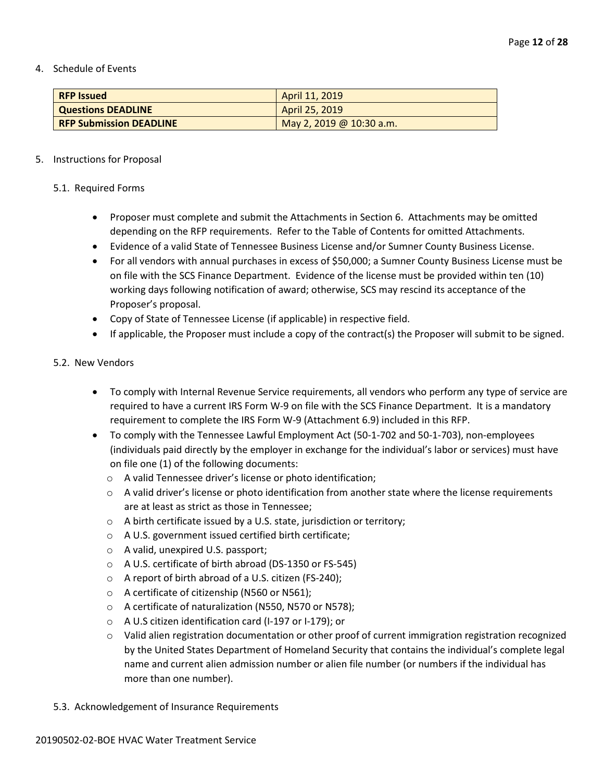4. Schedule of Events

| <b>RFP Issued</b>              | April 11, 2019           |
|--------------------------------|--------------------------|
| <b>Questions DEADLINE</b>      | April 25, 2019           |
| <b>RFP Submission DEADLINE</b> | May 2, 2019 @ 10:30 a.m. |

#### 5. Instructions for Proposal

#### 5.1. Required Forms

- Proposer must complete and submit the Attachments in Section 6. Attachments may be omitted depending on the RFP requirements. Refer to the Table of Contents for omitted Attachments.
- Evidence of a valid State of Tennessee Business License and/or Sumner County Business License.
- For all vendors with annual purchases in excess of \$50,000; a Sumner County Business License must be on file with the SCS Finance Department. Evidence of the license must be provided within ten (10) working days following notification of award; otherwise, SCS may rescind its acceptance of the Proposer's proposal.
- Copy of State of Tennessee License (if applicable) in respective field.
- If applicable, the Proposer must include a copy of the contract(s) the Proposer will submit to be signed.

#### 5.2. New Vendors

- To comply with Internal Revenue Service requirements, all vendors who perform any type of service are required to have a current IRS Form W-9 on file with the SCS Finance Department. It is a mandatory requirement to complete the IRS Form W-9 (Attachment 6.9) included in this RFP.
- To comply with the Tennessee Lawful Employment Act (50-1-702 and 50-1-703), non-employees (individuals paid directly by the employer in exchange for the individual's labor or services) must have on file one (1) of the following documents:
	- o A valid Tennessee driver's license or photo identification;
	- $\circ$  A valid driver's license or photo identification from another state where the license requirements are at least as strict as those in Tennessee;
	- o A birth certificate issued by a U.S. state, jurisdiction or territory;
	- o A U.S. government issued certified birth certificate;
	- o A valid, unexpired U.S. passport;
	- o A U.S. certificate of birth abroad (DS-1350 or FS-545)
	- o A report of birth abroad of a U.S. citizen (FS-240);
	- o A certificate of citizenship (N560 or N561);
	- o A certificate of naturalization (N550, N570 or N578);
	- o A U.S citizen identification card (I-197 or I-179); or
	- o Valid alien registration documentation or other proof of current immigration registration recognized by the United States Department of Homeland Security that contains the individual's complete legal name and current alien admission number or alien file number (or numbers if the individual has more than one number).
- 5.3. Acknowledgement of Insurance Requirements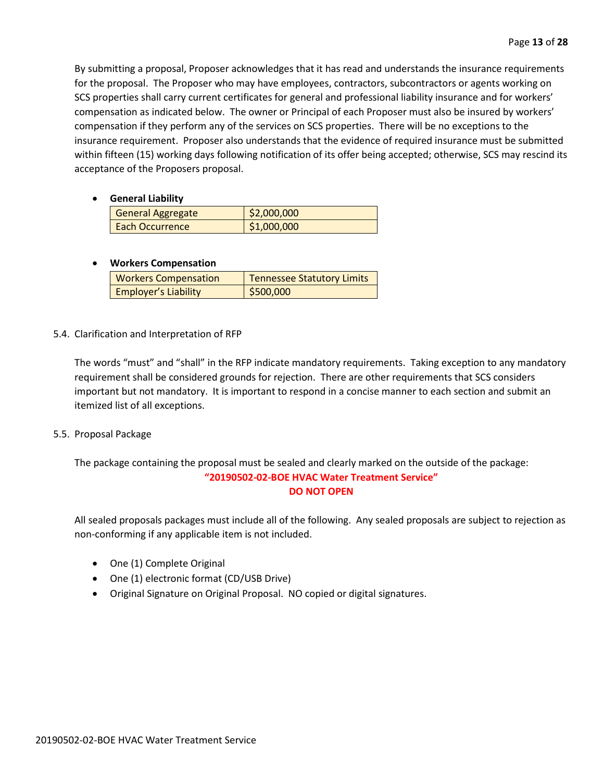By submitting a proposal, Proposer acknowledges that it has read and understands the insurance requirements for the proposal. The Proposer who may have employees, contractors, subcontractors or agents working on SCS properties shall carry current certificates for general and professional liability insurance and for workers' compensation as indicated below. The owner or Principal of each Proposer must also be insured by workers' compensation if they perform any of the services on SCS properties. There will be no exceptions to the insurance requirement. Proposer also understands that the evidence of required insurance must be submitted within fifteen (15) working days following notification of its offer being accepted; otherwise, SCS may rescind its acceptance of the Proposers proposal.

• **General Liability**

| ____________             |             |
|--------------------------|-------------|
| <b>General Aggregate</b> | \$2,000,000 |
| <b>Each Occurrence</b>   | \$1,000,000 |

#### • **Workers Compensation**

| <b>Workers Compensation</b> | Tennessee Statutory Limits |
|-----------------------------|----------------------------|
| <b>Employer's Liability</b> | \$500,000                  |

5.4. Clarification and Interpretation of RFP

The words "must" and "shall" in the RFP indicate mandatory requirements. Taking exception to any mandatory requirement shall be considered grounds for rejection. There are other requirements that SCS considers important but not mandatory. It is important to respond in a concise manner to each section and submit an itemized list of all exceptions.

5.5. Proposal Package

The package containing the proposal must be sealed and clearly marked on the outside of the package: **"20190502-02-BOE HVAC Water Treatment Service" DO NOT OPEN**

All sealed proposals packages must include all of the following. Any sealed proposals are subject to rejection as non-conforming if any applicable item is not included.

- One (1) Complete Original
- One (1) electronic format (CD/USB Drive)
- Original Signature on Original Proposal. NO copied or digital signatures.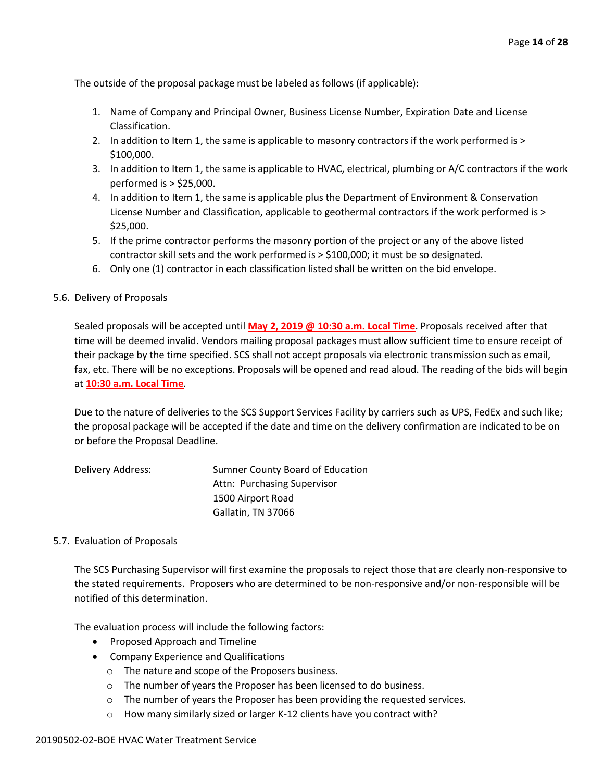The outside of the proposal package must be labeled as follows (if applicable):

- 1. Name of Company and Principal Owner, Business License Number, Expiration Date and License Classification.
- 2. In addition to Item 1, the same is applicable to masonry contractors if the work performed is > \$100,000.
- 3. In addition to Item 1, the same is applicable to HVAC, electrical, plumbing or A/C contractors if the work performed is > \$25,000.
- 4. In addition to Item 1, the same is applicable plus the Department of Environment & Conservation License Number and Classification, applicable to geothermal contractors if the work performed is > \$25,000.
- 5. If the prime contractor performs the masonry portion of the project or any of the above listed contractor skill sets and the work performed is > \$100,000; it must be so designated.
- 6. Only one (1) contractor in each classification listed shall be written on the bid envelope.
- 5.6. Delivery of Proposals

Sealed proposals will be accepted until **May 2, 2019 @ 10:30 a.m. Local Time**. Proposals received after that time will be deemed invalid. Vendors mailing proposal packages must allow sufficient time to ensure receipt of their package by the time specified. SCS shall not accept proposals via electronic transmission such as email, fax, etc. There will be no exceptions. Proposals will be opened and read aloud. The reading of the bids will begin at **10:30 a.m. Local Time**.

Due to the nature of deliveries to the SCS Support Services Facility by carriers such as UPS, FedEx and such like; the proposal package will be accepted if the date and time on the delivery confirmation are indicated to be on or before the Proposal Deadline.

| Delivery Address: | Sumner County Board of Education |
|-------------------|----------------------------------|
|                   | Attn: Purchasing Supervisor      |
|                   | 1500 Airport Road                |
|                   | Gallatin, TN 37066               |

#### 5.7. Evaluation of Proposals

The SCS Purchasing Supervisor will first examine the proposals to reject those that are clearly non-responsive to the stated requirements. Proposers who are determined to be non-responsive and/or non-responsible will be notified of this determination.

The evaluation process will include the following factors:

- Proposed Approach and Timeline
- Company Experience and Qualifications
	- o The nature and scope of the Proposers business.
	- o The number of years the Proposer has been licensed to do business.
	- o The number of years the Proposer has been providing the requested services.
	- o How many similarly sized or larger K-12 clients have you contract with?

#### 20190502-02-BOE HVAC Water Treatment Service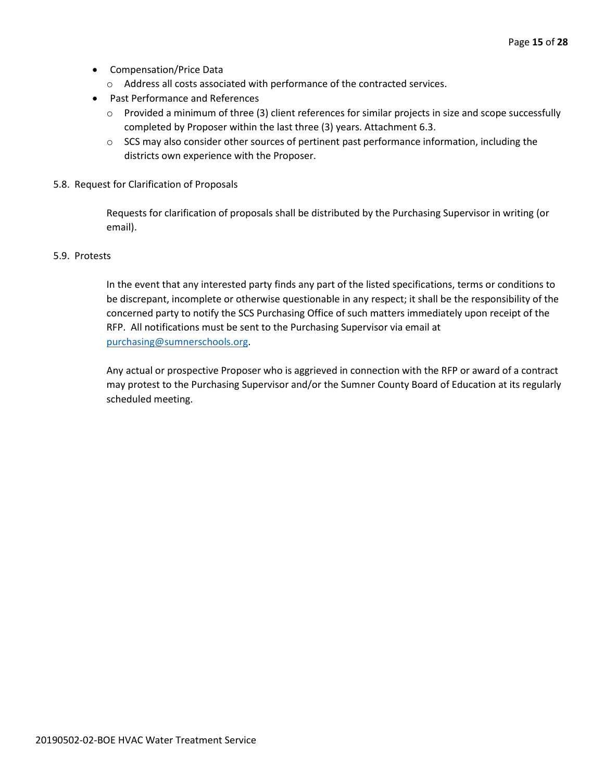- Compensation/Price Data
	- o Address all costs associated with performance of the contracted services.
- Past Performance and References
	- o Provided a minimum of three (3) client references for similar projects in size and scope successfully completed by Proposer within the last three (3) years. Attachment 6.3.
	- $\circ$  SCS may also consider other sources of pertinent past performance information, including the districts own experience with the Proposer.
- 5.8. Request for Clarification of Proposals

Requests for clarification of proposals shall be distributed by the Purchasing Supervisor in writing (or email).

#### 5.9. Protests

In the event that any interested party finds any part of the listed specifications, terms or conditions to be discrepant, incomplete or otherwise questionable in any respect; it shall be the responsibility of the concerned party to notify the SCS Purchasing Office of such matters immediately upon receipt of the RFP. All notifications must be sent to the Purchasing Supervisor via email at [purchasing@sumnerschools.org.](mailto:purchasing@sumnerschools.org)

Any actual or prospective Proposer who is aggrieved in connection with the RFP or award of a contract may protest to the Purchasing Supervisor and/or the Sumner County Board of Education at its regularly scheduled meeting.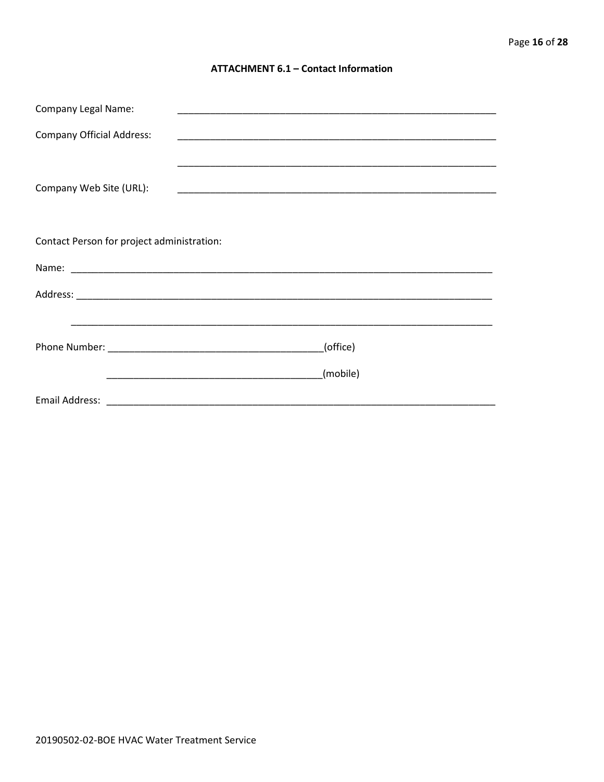#### **ATTACHMENT 6.1 - Contact Information**

| <b>Company Legal Name:</b>                 |          |  |  |  |  |  |
|--------------------------------------------|----------|--|--|--|--|--|
| <b>Company Official Address:</b>           |          |  |  |  |  |  |
|                                            |          |  |  |  |  |  |
| Company Web Site (URL):                    |          |  |  |  |  |  |
|                                            |          |  |  |  |  |  |
| Contact Person for project administration: |          |  |  |  |  |  |
|                                            |          |  |  |  |  |  |
|                                            |          |  |  |  |  |  |
|                                            |          |  |  |  |  |  |
|                                            | (office) |  |  |  |  |  |
|                                            | (mobile) |  |  |  |  |  |
|                                            |          |  |  |  |  |  |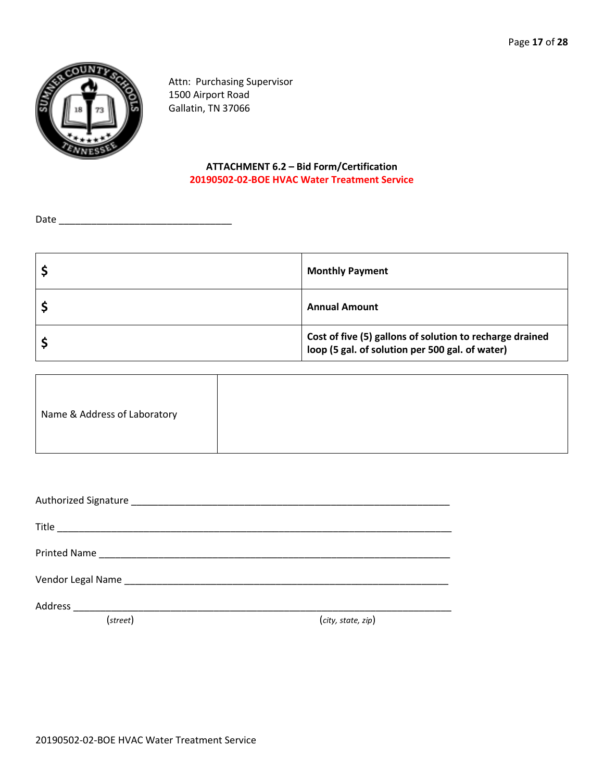

Attn: Purchasing Supervisor 1500 Airport Road Gallatin, TN 37066

#### **ATTACHMENT 6.2 – Bid Form/Certification 20190502-02-BOE HVAC Water Treatment Service**

Date \_\_\_\_\_\_\_\_\_\_\_\_\_\_\_\_\_\_\_\_\_\_\_\_\_\_\_\_\_\_\_\_

| <b>Monthly Payment</b>                                                                                      |
|-------------------------------------------------------------------------------------------------------------|
| <b>Annual Amount</b>                                                                                        |
| Cost of five (5) gallons of solution to recharge drained<br>loop (5 gal. of solution per 500 gal. of water) |

|--|

| Vendor Legal Name Manuel Allen and Contact and Contact and Contact and Contact and Contact and Contact and Contact and Contact and Contact and Contact and Contact and Contact and Contact and Contact and Contact and Contact |                    |
|--------------------------------------------------------------------------------------------------------------------------------------------------------------------------------------------------------------------------------|--------------------|
| Address                                                                                                                                                                                                                        |                    |
| (street)                                                                                                                                                                                                                       | (city, state, zip) |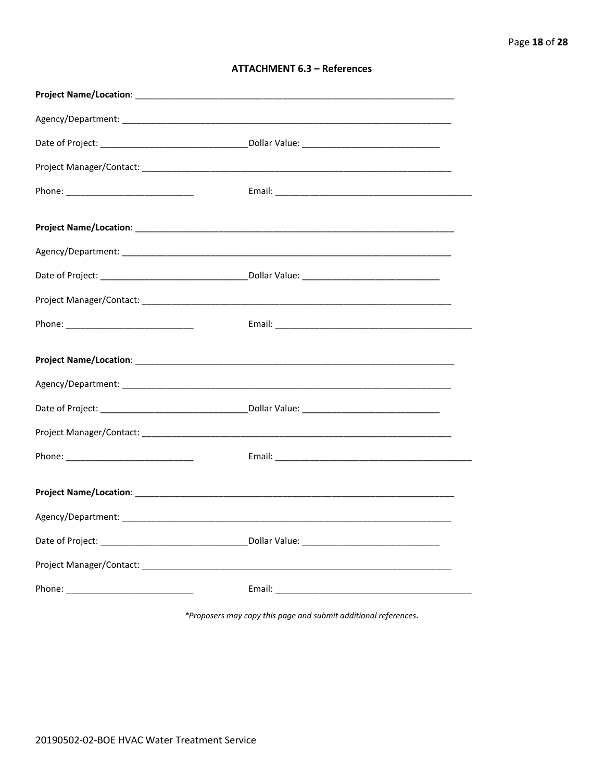| <b>ATTACHMENT 6.3 - References</b> |  |  |
|------------------------------------|--|--|
|------------------------------------|--|--|

\*Proposers may copy this page and submit additional references.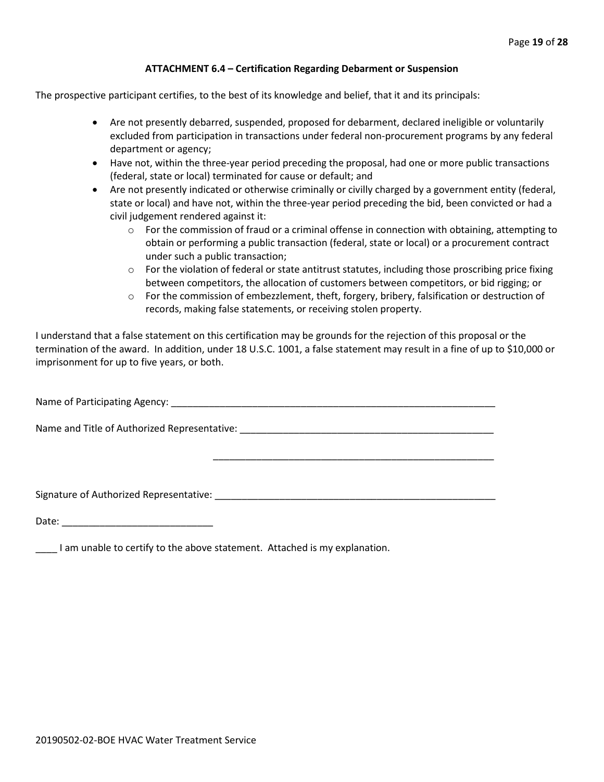#### **ATTACHMENT 6.4 – Certification Regarding Debarment or Suspension**

The prospective participant certifies, to the best of its knowledge and belief, that it and its principals:

- Are not presently debarred, suspended, proposed for debarment, declared ineligible or voluntarily excluded from participation in transactions under federal non-procurement programs by any federal department or agency;
- Have not, within the three-year period preceding the proposal, had one or more public transactions (federal, state or local) terminated for cause or default; and
- Are not presently indicated or otherwise criminally or civilly charged by a government entity (federal, state or local) and have not, within the three-year period preceding the bid, been convicted or had a civil judgement rendered against it:
	- $\circ$  For the commission of fraud or a criminal offense in connection with obtaining, attempting to obtain or performing a public transaction (federal, state or local) or a procurement contract under such a public transaction;
	- $\circ$  For the violation of federal or state antitrust statutes, including those proscribing price fixing between competitors, the allocation of customers between competitors, or bid rigging; or
	- o For the commission of embezzlement, theft, forgery, bribery, falsification or destruction of records, making false statements, or receiving stolen property.

\_\_\_\_\_\_\_\_\_\_\_\_\_\_\_\_\_\_\_\_\_\_\_\_\_\_\_\_\_\_\_\_\_\_\_\_\_\_\_\_\_\_\_\_\_\_\_\_\_\_\_\_

I understand that a false statement on this certification may be grounds for the rejection of this proposal or the termination of the award. In addition, under 18 U.S.C. 1001, a false statement may result in a fine of up to \$10,000 or imprisonment for up to five years, or both.

Name of Participating Agency: \_\_\_\_\_\_\_\_\_\_\_\_\_\_\_\_\_\_\_\_\_\_\_\_\_\_\_\_\_\_\_\_\_\_\_\_\_\_\_\_\_\_\_\_\_\_\_\_\_\_\_\_\_\_\_\_\_\_\_\_

Name and Title of Authorized Representative: \_\_\_\_\_\_\_\_\_\_\_\_\_\_\_\_\_\_\_\_\_\_\_\_\_\_\_\_\_\_\_\_\_\_\_\_\_\_\_\_\_\_\_\_\_\_\_

Signature of Authorized Representative: \_\_\_\_\_\_\_\_\_\_\_\_\_\_\_\_\_\_\_\_\_\_\_\_\_\_\_\_\_\_\_\_\_\_\_\_\_\_\_\_\_\_\_\_\_\_\_\_\_\_\_\_

Date: \_\_\_\_\_\_\_\_\_\_\_\_\_\_\_\_\_\_\_\_\_\_\_\_\_\_\_\_

\_\_\_\_ I am unable to certify to the above statement. Attached is my explanation.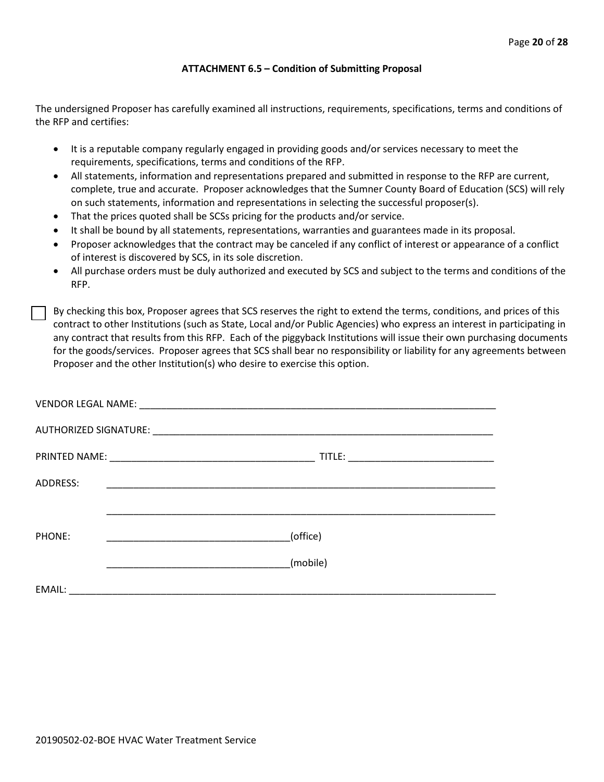#### **ATTACHMENT 6.5 – Condition of Submitting Proposal**

The undersigned Proposer has carefully examined all instructions, requirements, specifications, terms and conditions of the RFP and certifies:

- It is a reputable company regularly engaged in providing goods and/or services necessary to meet the requirements, specifications, terms and conditions of the RFP.
- All statements, information and representations prepared and submitted in response to the RFP are current, complete, true and accurate. Proposer acknowledges that the Sumner County Board of Education (SCS) will rely on such statements, information and representations in selecting the successful proposer(s).
- That the prices quoted shall be SCSs pricing for the products and/or service.
- It shall be bound by all statements, representations, warranties and guarantees made in its proposal.
- Proposer acknowledges that the contract may be canceled if any conflict of interest or appearance of a conflict of interest is discovered by SCS, in its sole discretion.
- All purchase orders must be duly authorized and executed by SCS and subject to the terms and conditions of the RFP.

By checking this box, Proposer agrees that SCS reserves the right to extend the terms, conditions, and prices of this contract to other Institutions (such as State, Local and/or Public Agencies) who express an interest in participating in any contract that results from this RFP. Each of the piggyback Institutions will issue their own purchasing documents for the goods/services. Proposer agrees that SCS shall bear no responsibility or liability for any agreements between Proposer and the other Institution(s) who desire to exercise this option.

| ADDRESS: | <u> 1999 - Johann John Stone, markin film yn y brening yn y brening yn y brening yn y brening yn y brening yn y b</u> |          |  |
|----------|-----------------------------------------------------------------------------------------------------------------------|----------|--|
|          |                                                                                                                       |          |  |
| PHONE:   |                                                                                                                       | (office) |  |
|          |                                                                                                                       | (mobile) |  |
| EMAIL:   |                                                                                                                       |          |  |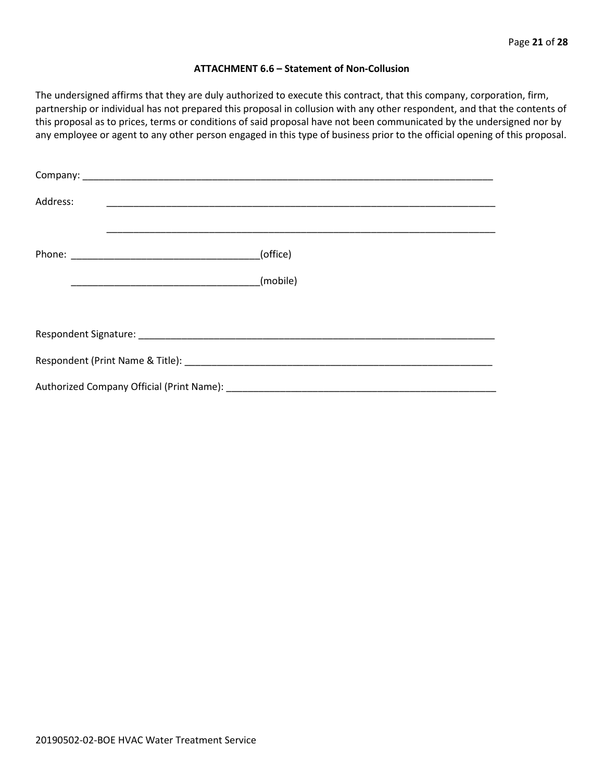#### **ATTACHMENT 6.6 – Statement of Non-Collusion**

The undersigned affirms that they are duly authorized to execute this contract, that this company, corporation, firm, partnership or individual has not prepared this proposal in collusion with any other respondent, and that the contents of this proposal as to prices, terms or conditions of said proposal have not been communicated by the undersigned nor by any employee or agent to any other person engaged in this type of business prior to the official opening of this proposal.

| Address: |          |  |  |  |  |
|----------|----------|--|--|--|--|
|          | (office) |  |  |  |  |
|          | (mobile) |  |  |  |  |
|          |          |  |  |  |  |
|          |          |  |  |  |  |
|          |          |  |  |  |  |
|          |          |  |  |  |  |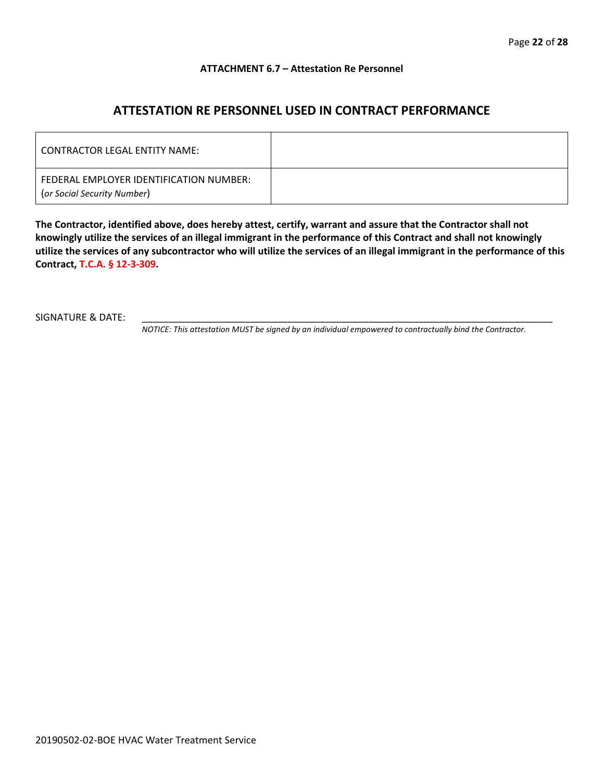#### **ATTACHMENT 6.7 – Attestation Re Personnel**

## **ATTESTATION RE PERSONNEL USED IN CONTRACT PERFORMANCE**

| CONTRACTOR LEGAL ENTITY NAME:                                          |  |
|------------------------------------------------------------------------|--|
| FEDERAL EMPLOYER IDENTIFICATION NUMBER:<br>(or Social Security Number) |  |

**The Contractor, identified above, does hereby attest, certify, warrant and assure that the Contractor shall not knowingly utilize the services of an illegal immigrant in the performance of this Contract and shall not knowingly utilize the services of any subcontractor who will utilize the services of an illegal immigrant in the performance of this Contract, T.C.A. § 12-3-309.**

SIGNATURE & DATE:

*NOTICE: This attestation MUST be signed by an individual empowered to contractually bind the Contractor.*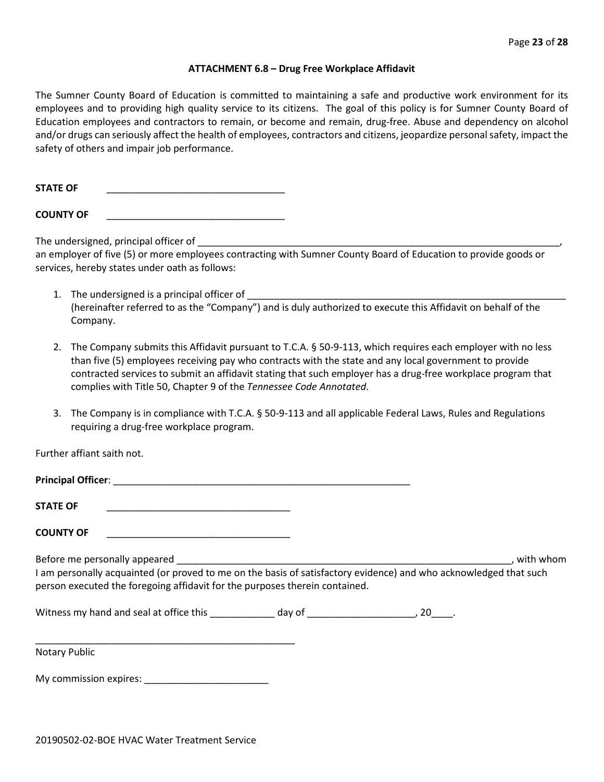#### **ATTACHMENT 6.8 – Drug Free Workplace Affidavit**

The Sumner County Board of Education is committed to maintaining a safe and productive work environment for its employees and to providing high quality service to its citizens. The goal of this policy is for Sumner County Board of Education employees and contractors to remain, or become and remain, drug-free. Abuse and dependency on alcohol and/or drugs can seriously affect the health of employees, contractors and citizens, jeopardize personal safety, impact the safety of others and impair job performance.

**STATE OF** \_\_\_\_\_\_\_\_\_\_\_\_\_\_\_\_\_\_\_\_\_\_\_\_\_\_\_\_\_\_\_\_\_

**COUNTY OF** \_\_\_\_\_\_\_\_\_\_\_\_\_\_\_\_\_\_\_\_\_\_\_\_\_\_\_\_\_\_\_\_\_

The undersigned, principal officer of

an employer of five (5) or more employees contracting with Sumner County Board of Education to provide goods or services, hereby states under oath as follows:

- 1. The undersigned is a principal officer of (hereinafter referred to as the "Company") and is duly authorized to execute this Affidavit on behalf of the Company.
- 2. The Company submits this Affidavit pursuant to T.C.A. § 50-9-113, which requires each employer with no less than five (5) employees receiving pay who contracts with the state and any local government to provide contracted services to submit an affidavit stating that such employer has a drug-free workplace program that complies with Title 50, Chapter 9 of the *Tennessee Code Annotated*.
- 3. The Company is in compliance with T.C.A. § 50-9-113 and all applicable Federal Laws, Rules and Regulations requiring a drug-free workplace program.

Further affiant saith not.

| <b>STATE OF</b>                                                                                                                                                                                  |  |           |
|--------------------------------------------------------------------------------------------------------------------------------------------------------------------------------------------------|--|-----------|
| <b>COUNTY OF</b>                                                                                                                                                                                 |  |           |
| I am personally acquainted (or proved to me on the basis of satisfactory evidence) and who acknowledged that such<br>person executed the foregoing affidavit for the purposes therein contained. |  | with whom |
|                                                                                                                                                                                                  |  |           |
|                                                                                                                                                                                                  |  |           |

Notary Public

My commission expires: \_\_\_\_\_\_\_\_\_\_\_\_\_\_\_\_\_\_\_\_\_\_\_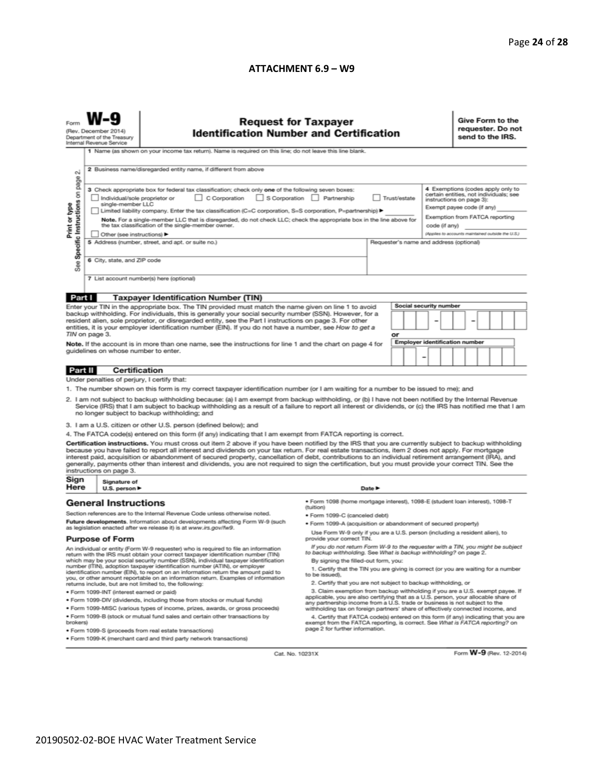#### **ATTACHMENT 6.9 – W9**

|                                                                                                                                                                                                                                                                                                                                                                                                                                                                                                                                                                                                                                                                                                                                                                                                                                                                                                                                                                                                                                                                                                                                                                                                                                                                                                                                                                                                               | <b>Request for Taxpayer</b><br><b>Identification Number and Certification</b><br>(Rev. December 2014)<br>Department of the Treasury<br>Internal Revenue Service<br>1 Name (as shown on your income tax return). Name is required on this line; do not leave this line blank. |                                                                                                                                                                                                                                                                                                                                                                                                                                                                                                                                                                                                                                                                                                                                                                                                                                                                                                                                                                                                                                                                                                                                                                                                  |                                 |        |                                                                        | Give Form to the<br>requester. Do not<br>send to the IRS. |  |  |  |  |  |
|---------------------------------------------------------------------------------------------------------------------------------------------------------------------------------------------------------------------------------------------------------------------------------------------------------------------------------------------------------------------------------------------------------------------------------------------------------------------------------------------------------------------------------------------------------------------------------------------------------------------------------------------------------------------------------------------------------------------------------------------------------------------------------------------------------------------------------------------------------------------------------------------------------------------------------------------------------------------------------------------------------------------------------------------------------------------------------------------------------------------------------------------------------------------------------------------------------------------------------------------------------------------------------------------------------------------------------------------------------------------------------------------------------------|------------------------------------------------------------------------------------------------------------------------------------------------------------------------------------------------------------------------------------------------------------------------------|--------------------------------------------------------------------------------------------------------------------------------------------------------------------------------------------------------------------------------------------------------------------------------------------------------------------------------------------------------------------------------------------------------------------------------------------------------------------------------------------------------------------------------------------------------------------------------------------------------------------------------------------------------------------------------------------------------------------------------------------------------------------------------------------------------------------------------------------------------------------------------------------------------------------------------------------------------------------------------------------------------------------------------------------------------------------------------------------------------------------------------------------------------------------------------------------------|---------------------------------|--------|------------------------------------------------------------------------|-----------------------------------------------------------|--|--|--|--|--|
| 2 Business name/disregarded entity name, if different from above<br>$\sim$<br>page<br>4 Exemptions (codes apply only to<br>3 Check appropriate box for federal tax classification; check only one of the following seven boxes:<br>Specific Instructions on<br>certain entities, not individuals; see<br>C Corporation S Corporation Partnership<br>Trust/estate<br>Individual/sole proprietor or<br>instructions on page 3):<br>Print or type<br>single-member LLC<br>Exempt payee code (if any)<br>Limited liability company. Enter the tax classification (C=C corporation, S=S corporation, P=partnership) ▶<br>Exemption from FATCA reporting<br>Note. For a single-member LLC that is disregarded, do not check LLC; check the appropriate box in the line above for<br>the tax classification of the single-member owner.<br>code (if any)<br>(Applies to accounts maintained outside the U.S.)<br>Other (see instructions) ▶<br>5 Address (number, street, and apt. or suite no.)<br>Requester's name and address (optional)<br>6 City, state, and ZIP code<br>æ<br>αñ<br>7 List account number(s) here (optional)                                                                                                                                                                                                                                                                                    |                                                                                                                                                                                                                                                                              |                                                                                                                                                                                                                                                                                                                                                                                                                                                                                                                                                                                                                                                                                                                                                                                                                                                                                                                                                                                                                                                                                                                                                                                                  |                                 |        |                                                                        |                                                           |  |  |  |  |  |
| Part I                                                                                                                                                                                                                                                                                                                                                                                                                                                                                                                                                                                                                                                                                                                                                                                                                                                                                                                                                                                                                                                                                                                                                                                                                                                                                                                                                                                                        |                                                                                                                                                                                                                                                                              | <b>Taxpayer Identification Number (TIN)</b>                                                                                                                                                                                                                                                                                                                                                                                                                                                                                                                                                                                                                                                                                                                                                                                                                                                                                                                                                                                                                                                                                                                                                      |                                 |        |                                                                        |                                                           |  |  |  |  |  |
|                                                                                                                                                                                                                                                                                                                                                                                                                                                                                                                                                                                                                                                                                                                                                                                                                                                                                                                                                                                                                                                                                                                                                                                                                                                                                                                                                                                                               | TIN on page 3.<br>guidelines on whose number to enter.                                                                                                                                                                                                                       | Enter your TIN in the appropriate box. The TIN provided must match the name given on line 1 to avoid<br>backup withholding. For individuals, this is generally your social security number (SSN). However, for a<br>resident alien, sole proprietor, or disregarded entity, see the Part I instructions on page 3. For other<br>entities, it is your employer identification number (EIN). If you do not have a number, see How to get a<br>Note. If the account is in more than one name, see the instructions for line 1 and the chart on page 4 for                                                                                                                                                                                                                                                                                                                                                                                                                                                                                                                                                                                                                                           |                                 | or     | <b>Social security number</b><br><b>Employer identification number</b> | -                                                         |  |  |  |  |  |
| Part II                                                                                                                                                                                                                                                                                                                                                                                                                                                                                                                                                                                                                                                                                                                                                                                                                                                                                                                                                                                                                                                                                                                                                                                                                                                                                                                                                                                                       | <b>Certification</b>                                                                                                                                                                                                                                                         |                                                                                                                                                                                                                                                                                                                                                                                                                                                                                                                                                                                                                                                                                                                                                                                                                                                                                                                                                                                                                                                                                                                                                                                                  |                                 |        |                                                                        |                                                           |  |  |  |  |  |
| Under penalties of perjury, I certify that:<br>1. The number shown on this form is my correct taxpayer identification number (or I am waiting for a number to be issued to me); and<br>2. I am not subject to backup withholding because: (a) I am exempt from backup withholding, or (b) I have not been notified by the Internal Revenue<br>Service (IRS) that I am subject to backup withholding as a result of a failure to report all interest or dividends, or (c) the IRS has notified me that I am<br>no longer subject to backup withholding; and<br>3. I am a U.S. citizen or other U.S. person (defined below); and<br>4. The FATCA code(s) entered on this form (if any) indicating that I am exempt from FATCA reporting is correct.<br>Certification instructions. You must cross out item 2 above if you have been notified by the IRS that you are currently subject to backup withholding<br>because you have failed to report all interest and dividends on your tax return. For real estate transactions, item 2 does not apply. For mortgage<br>interest paid, acquisition or abandonment of secured property, cancellation of debt, contributions to an individual retirement arrangement (IRA), and<br>generally, payments other than interest and dividends, you are not required to sign the certification, but you must provide your correct TIN. See the<br>instructions on page 3. |                                                                                                                                                                                                                                                                              |                                                                                                                                                                                                                                                                                                                                                                                                                                                                                                                                                                                                                                                                                                                                                                                                                                                                                                                                                                                                                                                                                                                                                                                                  |                                 |        |                                                                        |                                                           |  |  |  |  |  |
| Sign<br>Here                                                                                                                                                                                                                                                                                                                                                                                                                                                                                                                                                                                                                                                                                                                                                                                                                                                                                                                                                                                                                                                                                                                                                                                                                                                                                                                                                                                                  | Signature of<br>U.S. person $\blacktriangleright$                                                                                                                                                                                                                            |                                                                                                                                                                                                                                                                                                                                                                                                                                                                                                                                                                                                                                                                                                                                                                                                                                                                                                                                                                                                                                                                                                                                                                                                  |                                 | Date P |                                                                        |                                                           |  |  |  |  |  |
| <b>General Instructions</b><br>Section references are to the Internal Revenue Code unless otherwise noted.<br>Future developments. Information about developments affecting Form W-9 (such<br>as legislation enacted after we release it) is at www.irs.gov/fw9.<br><b>Purpose of Form</b><br>An individual or entity (Form W-9 requester) who is required to file an information<br>return with the IRS must obtain your correct taxpayer identification number (TIN)<br>which may be your social security number (SSN), individual taxpayer identification<br>number (ITIN), adoption taxpayer identification number (ATIN), or employer<br>identification number (EIN), to report on an information return the amount paid to<br>you, or other amount reportable on an information return. Examples of information<br>returns include, but are not limited to, the following:<br>· Form 1099-INT (interest earned or paid)<br>. Form 1099-DIV (dividends, including those from stocks or mutual funds)<br>. Form 1099-MISC (various types of income, prizes, awards, or gross proceeds)<br>. Form 1099-B (stock or mutual fund sales and certain other transactions by<br>brokers)                                                                                                                                                                                                                         |                                                                                                                                                                                                                                                                              | · Form 1098 (home mortgage interest), 1098-E (student loan interest), 1098-T<br>(tuition)<br>· Form 1099-C (canceled debt)<br>· Form 1099-A (acquisition or abandonment of secured property)<br>Use Form W-9 only if you are a U.S. person (including a resident alien), to<br>provide your correct TIN.<br>If you do not return Form W-9 to the requester with a TIN, you might be subject<br>to backup withholding. See What is backup withholding? on page 2.<br>By signing the filled-out form, you:<br>1. Certify that the TIN you are giving is correct (or you are waiting for a number<br>to be issued).<br>2. Certify that you are not subject to backup withholding, or<br>3. Claim exemption from backup withholding if you are a U.S. exempt payee. If<br>applicable, you are also certifying that as a U.S. person, your allocable share of<br>any partnership income from a U.S. trade or business is not subject to the<br>withholding tax on foreign partners' share of effectively connected income, and<br>4. Certify that FATCA code(s) entered on this form (if any) indicating that you are<br>exempt from the FATCA reporting, is correct. See What is FATCA reporting? on |                                 |        |                                                                        |                                                           |  |  |  |  |  |
|                                                                                                                                                                                                                                                                                                                                                                                                                                                                                                                                                                                                                                                                                                                                                                                                                                                                                                                                                                                                                                                                                                                                                                                                                                                                                                                                                                                                               |                                                                                                                                                                                                                                                                              | · Form 1099-S (proceeds from real estate transactions)<br>. Form 1099-K (merchant card and third party network transactions)                                                                                                                                                                                                                                                                                                                                                                                                                                                                                                                                                                                                                                                                                                                                                                                                                                                                                                                                                                                                                                                                     | page 2 for further information. |        |                                                                        |                                                           |  |  |  |  |  |

Cat. No. 10231X

Form W-9 (Rev. 12-2014)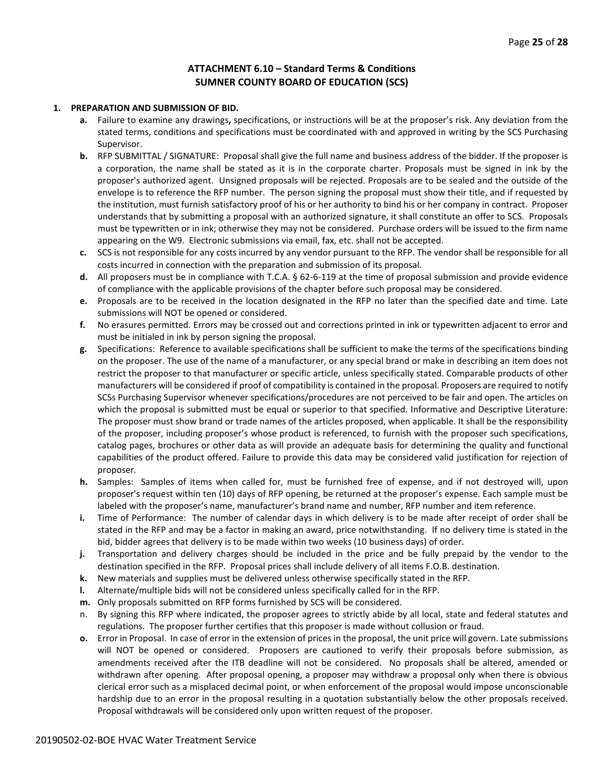#### **ATTACHMENT 6.10 – Standard Terms & Conditions SUMNER COUNTY BOARD OF EDUCATION (SCS)**

#### **1. PREPARATION AND SUBMISSION OF BID.**

- **a.** Failure to examine any drawings**,** specifications, or instructions will be at the proposer's risk. Any deviation from the stated terms, conditions and specifications must be coordinated with and approved in writing by the SCS Purchasing Supervisor.
- **b.** RFP SUBMITTAL / SIGNATURE: Proposal shall give the full name and business address of the bidder. If the proposer is a corporation, the name shall be stated as it is in the corporate charter. Proposals must be signed in ink by the proposer's authorized agent. Unsigned proposals will be rejected. Proposals are to be sealed and the outside of the envelope is to reference the RFP number. The person signing the proposal must show their title, and if requested by the institution, must furnish satisfactory proof of his or her authority to bind his or her company in contract. Proposer understands that by submitting a proposal with an authorized signature, it shall constitute an offer to SCS. Proposals must be typewritten or in ink; otherwise they may not be considered. Purchase orders will be issued to the firm name appearing on the W9. Electronic submissions via email, fax, etc. shall not be accepted.
- **c.** SCS is not responsible for any costs incurred by any vendor pursuant to the RFP. The vendor shall be responsible for all costs incurred in connection with the preparation and submission of its proposal.
- **d.** All proposers must be in compliance with T.C.A. § 62-6-119 at the time of proposal submission and provide evidence of compliance with the applicable provisions of the chapter before such proposal may be considered.
- **e.** Proposals are to be received in the location designated in the RFP no later than the specified date and time. Late submissions will NOT be opened or considered.
- **f.** No erasures permitted. Errors may be crossed out and corrections printed in ink or typewritten adjacent to error and must be initialed in ink by person signing the proposal.
- **g.** Specifications: Reference to available specifications shall be sufficient to make the terms of the specifications binding on the proposer. The use of the name of a manufacturer, or any special brand or make in describing an item does not restrict the proposer to that manufacturer or specific article, unless specifically stated. Comparable products of other manufacturers will be considered if proof of compatibility is contained in the proposal. Proposers are required to notify SCSs Purchasing Supervisor whenever specifications/procedures are not perceived to be fair and open. The articles on which the proposal is submitted must be equal or superior to that specified. Informative and Descriptive Literature: The proposer must show brand or trade names of the articles proposed, when applicable. It shall be the responsibility of the proposer, including proposer's whose product is referenced, to furnish with the proposer such specifications, catalog pages, brochures or other data as will provide an adequate basis for determining the quality and functional capabilities of the product offered. Failure to provide this data may be considered valid justification for rejection of proposer.
- **h.** Samples: Samples of items when called for, must be furnished free of expense, and if not destroyed will, upon proposer's request within ten (10) days of RFP opening, be returned at the proposer's expense. Each sample must be labeled with the proposer's name, manufacturer's brand name and number, RFP number and item reference.
- **i.** Time of Performance: The number of calendar days in which delivery is to be made after receipt of order shall be stated in the RFP and may be a factor in making an award, price notwithstanding. If no delivery time is stated in the bid, bidder agrees that delivery is to be made within two weeks (10 business days) of order.
- **j.** Transportation and delivery charges should be included in the price and be fully prepaid by the vendor to the destination specified in the RFP. Proposal prices shall include delivery of all items F.O.B. destination.
- **k.** New materials and supplies must be delivered unless otherwise specifically stated in the RFP.
- **l.** Alternate/multiple bids will not be considered unless specifically called for in the RFP.
- **m.** Only proposals submitted on RFP forms furnished by SCS will be considered.
- n. By signing this RFP where indicated, the proposer agrees to strictly abide by all local, state and federal statutes and regulations. The proposer further certifies that this proposer is made without collusion or fraud.
- **o.** Error in Proposal. In case of error in the extension of prices in the proposal, the unit price will govern. Late submissions will NOT be opened or considered. Proposers are cautioned to verify their proposals before submission, as amendments received after the ITB deadline will not be considered. No proposals shall be altered, amended or withdrawn after opening. After proposal opening, a proposer may withdraw a proposal only when there is obvious clerical error such as a misplaced decimal point, or when enforcement of the proposal would impose unconscionable hardship due to an error in the proposal resulting in a quotation substantially below the other proposals received. Proposal withdrawals will be considered only upon written request of the proposer.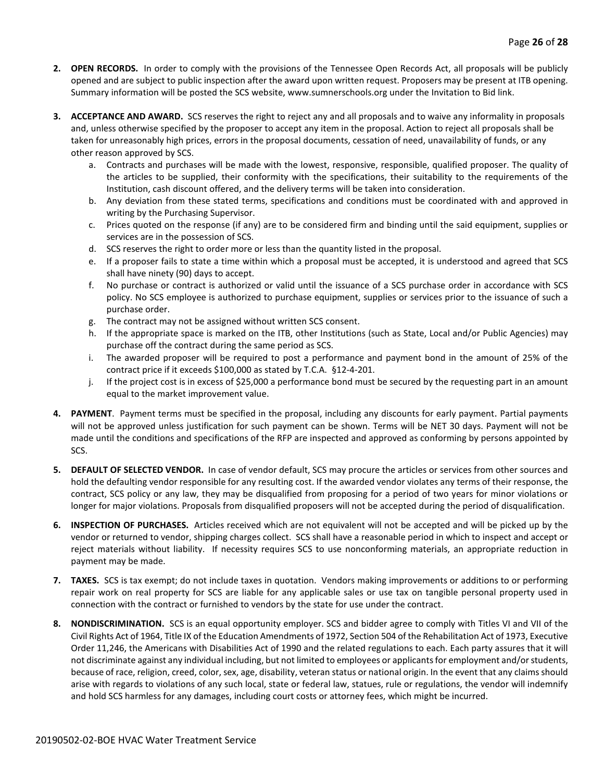- **2. OPEN RECORDS.** In order to comply with the provisions of the Tennessee Open Records Act, all proposals will be publicly opened and are subject to public inspection after the award upon written request. Proposers may be present at ITB opening. Summary information will be posted the SCS website, www.sumnerschools.org under the Invitation to Bid link.
- **3. ACCEPTANCE AND AWARD.** SCS reserves the right to reject any and all proposals and to waive any informality in proposals and, unless otherwise specified by the proposer to accept any item in the proposal. Action to reject all proposals shall be taken for unreasonably high prices, errors in the proposal documents, cessation of need, unavailability of funds, or any other reason approved by SCS.
	- a. Contracts and purchases will be made with the lowest, responsive, responsible, qualified proposer. The quality of the articles to be supplied, their conformity with the specifications, their suitability to the requirements of the Institution, cash discount offered, and the delivery terms will be taken into consideration.
	- b. Any deviation from these stated terms, specifications and conditions must be coordinated with and approved in writing by the Purchasing Supervisor.
	- c. Prices quoted on the response (if any) are to be considered firm and binding until the said equipment, supplies or services are in the possession of SCS.
	- d. SCS reserves the right to order more or less than the quantity listed in the proposal.
	- e. If a proposer fails to state a time within which a proposal must be accepted, it is understood and agreed that SCS shall have ninety (90) days to accept.
	- f. No purchase or contract is authorized or valid until the issuance of a SCS purchase order in accordance with SCS policy. No SCS employee is authorized to purchase equipment, supplies or services prior to the issuance of such a purchase order.
	- g. The contract may not be assigned without written SCS consent.
	- h. If the appropriate space is marked on the ITB, other Institutions (such as State, Local and/or Public Agencies) may purchase off the contract during the same period as SCS.
	- i. The awarded proposer will be required to post a performance and payment bond in the amount of 25% of the contract price if it exceeds \$100,000 as stated by T.C.A. §12-4-201.
	- j. If the project cost is in excess of \$25,000 a performance bond must be secured by the requesting part in an amount equal to the market improvement value.
- **4. PAYMENT**. Payment terms must be specified in the proposal, including any discounts for early payment. Partial payments will not be approved unless justification for such payment can be shown. Terms will be NET 30 days. Payment will not be made until the conditions and specifications of the RFP are inspected and approved as conforming by persons appointed by SCS.
- **5. DEFAULT OF SELECTED VENDOR.** In case of vendor default, SCS may procure the articles or services from other sources and hold the defaulting vendor responsible for any resulting cost. If the awarded vendor violates any terms of their response, the contract, SCS policy or any law, they may be disqualified from proposing for a period of two years for minor violations or longer for major violations. Proposals from disqualified proposers will not be accepted during the period of disqualification.
- **6. INSPECTION OF PURCHASES.** Articles received which are not equivalent will not be accepted and will be picked up by the vendor or returned to vendor, shipping charges collect. SCS shall have a reasonable period in which to inspect and accept or reject materials without liability. If necessity requires SCS to use nonconforming materials, an appropriate reduction in payment may be made.
- **7. TAXES.** SCS is tax exempt; do not include taxes in quotation. Vendors making improvements or additions to or performing repair work on real property for SCS are liable for any applicable sales or use tax on tangible personal property used in connection with the contract or furnished to vendors by the state for use under the contract.
- **8. NONDISCRIMINATION.** SCS is an equal opportunity employer. SCS and bidder agree to comply with Titles VI and VII of the Civil Rights Act of 1964, Title IX of the Education Amendments of 1972, Section 504 of the Rehabilitation Act of 1973, Executive Order 11,246, the Americans with Disabilities Act of 1990 and the related regulations to each. Each party assures that it will not discriminate against any individual including, but not limited to employees or applicants for employment and/or students, because of race, religion, creed, color, sex, age, disability, veteran status or national origin. In the event that any claims should arise with regards to violations of any such local, state or federal law, statues, rule or regulations, the vendor will indemnify and hold SCS harmless for any damages, including court costs or attorney fees, which might be incurred.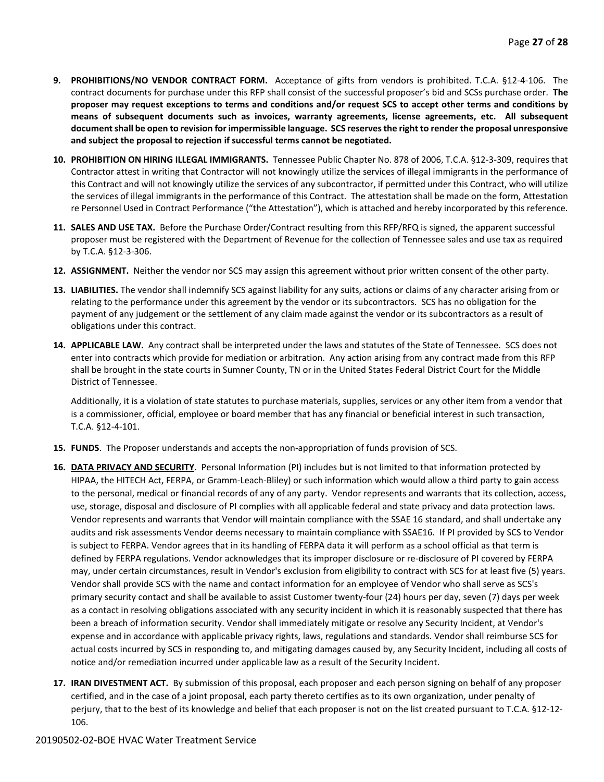- **9. PROHIBITIONS/NO VENDOR CONTRACT FORM.** Acceptance of gifts from vendors is prohibited. T.C.A. §12-4-106. The contract documents for purchase under this RFP shall consist of the successful proposer's bid and SCSs purchase order. **The proposer may request exceptions to terms and conditions and/or request SCS to accept other terms and conditions by means of subsequent documents such as invoices, warranty agreements, license agreements, etc. All subsequent document shall be open to revision for impermissible language. SCS reserves the right to render the proposal unresponsive and subject the proposal to rejection if successful terms cannot be negotiated.**
- **10. PROHIBITION ON HIRING ILLEGAL IMMIGRANTS.** Tennessee Public Chapter No. 878 of 2006, T.C.A. §12-3-309, requires that Contractor attest in writing that Contractor will not knowingly utilize the services of illegal immigrants in the performance of this Contract and will not knowingly utilize the services of any subcontractor, if permitted under this Contract, who will utilize the services of illegal immigrants in the performance of this Contract. The attestation shall be made on the form, Attestation re Personnel Used in Contract Performance ("the Attestation"), which is attached and hereby incorporated by this reference.
- **11. SALES AND USE TAX.** Before the Purchase Order/Contract resulting from this RFP/RFQ is signed, the apparent successful proposer must be registered with the Department of Revenue for the collection of Tennessee sales and use tax as required by T.C.A. §12-3-306.
- **12. ASSIGNMENT.** Neither the vendor nor SCS may assign this agreement without prior written consent of the other party.
- **13. LIABILITIES.** The vendor shall indemnify SCS against liability for any suits, actions or claims of any character arising from or relating to the performance under this agreement by the vendor or its subcontractors. SCS has no obligation for the payment of any judgement or the settlement of any claim made against the vendor or its subcontractors as a result of obligations under this contract.
- **14. APPLICABLE LAW.** Any contract shall be interpreted under the laws and statutes of the State of Tennessee. SCS does not enter into contracts which provide for mediation or arbitration. Any action arising from any contract made from this RFP shall be brought in the state courts in Sumner County, TN or in the United States Federal District Court for the Middle District of Tennessee.

Additionally, it is a violation of state statutes to purchase materials, supplies, services or any other item from a vendor that is a commissioner, official, employee or board member that has any financial or beneficial interest in such transaction, T.C.A. §12-4-101.

- **15. FUNDS**. The Proposer understands and accepts the non-appropriation of funds provision of SCS.
- **16. DATA PRIVACY AND SECURITY**. Personal Information (PI) includes but is not limited to that information protected by HIPAA, the HITECH Act, FERPA, or Gramm-Leach-Bliley) or such information which would allow a third party to gain access to the personal, medical or financial records of any of any party. Vendor represents and warrants that its collection, access, use, storage, disposal and disclosure of PI complies with all applicable federal and state privacy and data protection laws. Vendor represents and warrants that Vendor will maintain compliance with the SSAE 16 standard, and shall undertake any audits and risk assessments Vendor deems necessary to maintain compliance with SSAE16. If PI provided by SCS to Vendor is subject to FERPA. Vendor agrees that in its handling of FERPA data it will perform as a school official as that term is defined by FERPA regulations. Vendor acknowledges that its improper disclosure or re-disclosure of PI covered by FERPA may, under certain circumstances, result in Vendor's exclusion from eligibility to contract with SCS for at least five (5) years. Vendor shall provide SCS with the name and contact information for an employee of Vendor who shall serve as SCS's primary security contact and shall be available to assist Customer twenty-four (24) hours per day, seven (7) days per week as a contact in resolving obligations associated with any security incident in which it is reasonably suspected that there has been a breach of information security. Vendor shall immediately mitigate or resolve any Security Incident, at Vendor's expense and in accordance with applicable privacy rights, laws, regulations and standards. Vendor shall reimburse SCS for actual costs incurred by SCS in responding to, and mitigating damages caused by, any Security Incident, including all costs of notice and/or remediation incurred under applicable law as a result of the Security Incident.
- **17. IRAN DIVESTMENT ACT.** By submission of this proposal, each proposer and each person signing on behalf of any proposer certified, and in the case of a joint proposal, each party thereto certifies as to its own organization, under penalty of perjury, that to the best of its knowledge and belief that each proposer is not on the list created pursuant to T.C.A. §12-12- 106.

#### 20190502-02-BOE HVAC Water Treatment Service